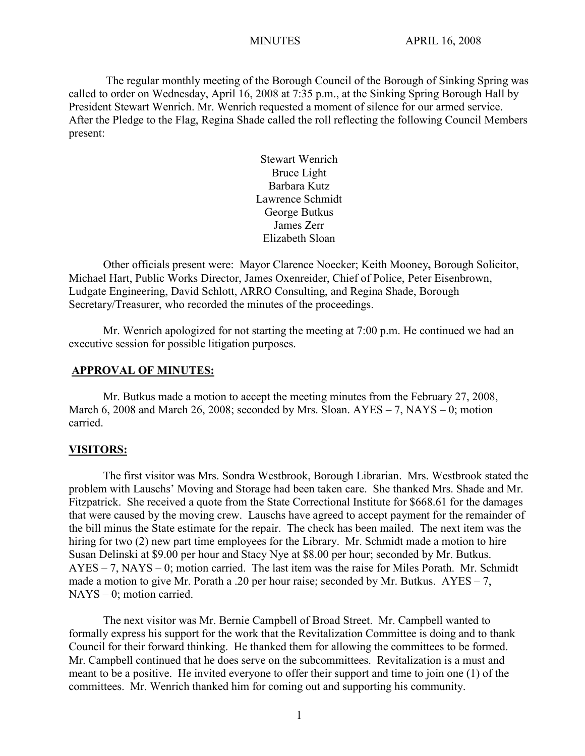The regular monthly meeting of the Borough Council of the Borough of Sinking Spring was called to order on Wednesday, April 16, 2008 at 7:35 p.m., at the Sinking Spring Borough Hall by President Stewart Wenrich. Mr. Wenrich requested a moment of silence for our armed service. After the Pledge to the Flag, Regina Shade called the roll reflecting the following Council Members present:

> Stewart Wenrich Bruce Light Barbara Kutz Lawrence Schmidt George Butkus James Zerr Elizabeth Sloan

Other officials present were: Mayor Clarence Noecker; Keith Mooney**,** Borough Solicitor, Michael Hart, Public Works Director, James Oxenreider, Chief of Police, Peter Eisenbrown, Ludgate Engineering, David Schlott, ARRO Consulting, and Regina Shade, Borough Secretary/Treasurer, who recorded the minutes of the proceedings.

Mr. Wenrich apologized for not starting the meeting at 7:00 p.m. He continued we had an executive session for possible litigation purposes.

#### **APPROVAL OF MINUTES:**

Mr. Butkus made a motion to accept the meeting minutes from the February 27, 2008, March 6, 2008 and March 26, 2008; seconded by Mrs. Sloan. AYES – 7, NAYS – 0; motion carried.

#### **VISITORS:**

The first visitor was Mrs. Sondra Westbrook, Borough Librarian. Mrs. Westbrook stated the problem with Lauschs' Moving and Storage had been taken care. She thanked Mrs. Shade and Mr. Fitzpatrick. She received a quote from the State Correctional Institute for \$668.61 for the damages that were caused by the moving crew. Lauschs have agreed to accept payment for the remainder of the bill minus the State estimate for the repair. The check has been mailed. The next item was the hiring for two (2) new part time employees for the Library. Mr. Schmidt made a motion to hire Susan Delinski at \$9.00 per hour and Stacy Nye at \$8.00 per hour; seconded by Mr. Butkus. AYES – 7, NAYS – 0; motion carried. The last item was the raise for Miles Porath. Mr. Schmidt made a motion to give Mr. Porath a .20 per hour raise; seconded by Mr. Butkus.  $AYES - 7$ , NAYS – 0; motion carried.

The next visitor was Mr. Bernie Campbell of Broad Street. Mr. Campbell wanted to formally express his support for the work that the Revitalization Committee is doing and to thank Council for their forward thinking. He thanked them for allowing the committees to be formed. Mr. Campbell continued that he does serve on the subcommittees. Revitalization is a must and meant to be a positive. He invited everyone to offer their support and time to join one (1) of the committees. Mr. Wenrich thanked him for coming out and supporting his community.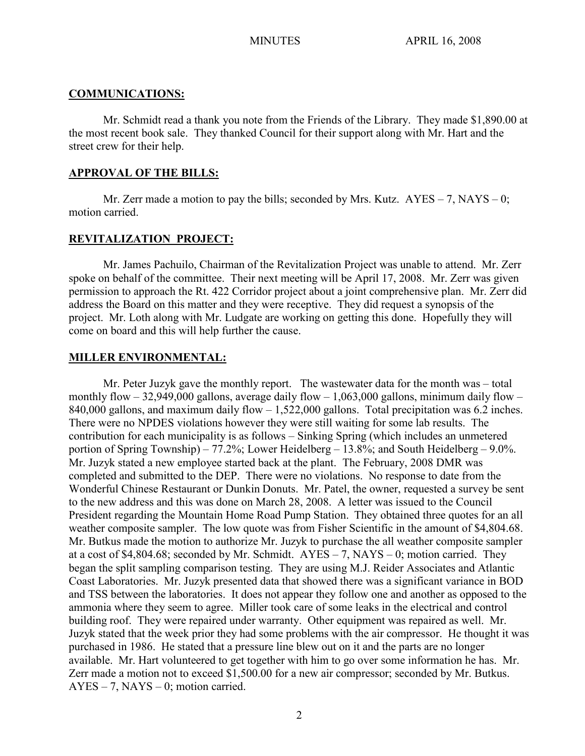#### **COMMUNICATIONS:**

Mr. Schmidt read a thank you note from the Friends of the Library. They made \$1,890.00 at the most recent book sale. They thanked Council for their support along with Mr. Hart and the street crew for their help.

### **APPROVAL OF THE BILLS:**

Mr. Zerr made a motion to pay the bills; seconded by Mrs. Kutz.  $AYES - 7$ , NAYS – 0; motion carried.

### **REVITALIZATION PROJECT:**

Mr. James Pachuilo, Chairman of the Revitalization Project was unable to attend. Mr. Zerr spoke on behalf of the committee. Their next meeting will be April 17, 2008. Mr. Zerr was given permission to approach the Rt. 422 Corridor project about a joint comprehensive plan. Mr. Zerr did address the Board on this matter and they were receptive. They did request a synopsis of the project. Mr. Loth along with Mr. Ludgate are working on getting this done. Hopefully they will come on board and this will help further the cause.

#### **MILLER ENVIRONMENTAL:**

Mr. Peter Juzyk gave the monthly report. The wastewater data for the month was – total monthly flow  $-32,949,000$  gallons, average daily flow  $-1,063,000$  gallons, minimum daily flow  $-$ 840,000 gallons, and maximum daily flow – 1,522,000 gallons. Total precipitation was 6.2 inches. There were no NPDES violations however they were still waiting for some lab results. The contribution for each municipality is as follows – Sinking Spring (which includes an unmetered portion of Spring Township) – 77.2%; Lower Heidelberg – 13.8%; and South Heidelberg – 9.0%. Mr. Juzyk stated a new employee started back at the plant. The February, 2008 DMR was completed and submitted to the DEP. There were no violations. No response to date from the Wonderful Chinese Restaurant or Dunkin Donuts. Mr. Patel, the owner, requested a survey be sent to the new address and this was done on March 28, 2008. A letter was issued to the Council President regarding the Mountain Home Road Pump Station. They obtained three quotes for an all weather composite sampler. The low quote was from Fisher Scientific in the amount of \$4,804.68. Mr. Butkus made the motion to authorize Mr. Juzyk to purchase the all weather composite sampler at a cost of \$4,804.68; seconded by Mr. Schmidt. AYES – 7, NAYS – 0; motion carried. They began the split sampling comparison testing. They are using M.J. Reider Associates and Atlantic Coast Laboratories. Mr. Juzyk presented data that showed there was a significant variance in BOD and TSS between the laboratories. It does not appear they follow one and another as opposed to the ammonia where they seem to agree. Miller took care of some leaks in the electrical and control building roof. They were repaired under warranty. Other equipment was repaired as well. Mr. Juzyk stated that the week prior they had some problems with the air compressor. He thought it was purchased in 1986. He stated that a pressure line blew out on it and the parts are no longer available. Mr. Hart volunteered to get together with him to go over some information he has. Mr. Zerr made a motion not to exceed \$1,500.00 for a new air compressor; seconded by Mr. Butkus.  $AYES - 7$ ,  $NAYS - 0$ ; motion carried.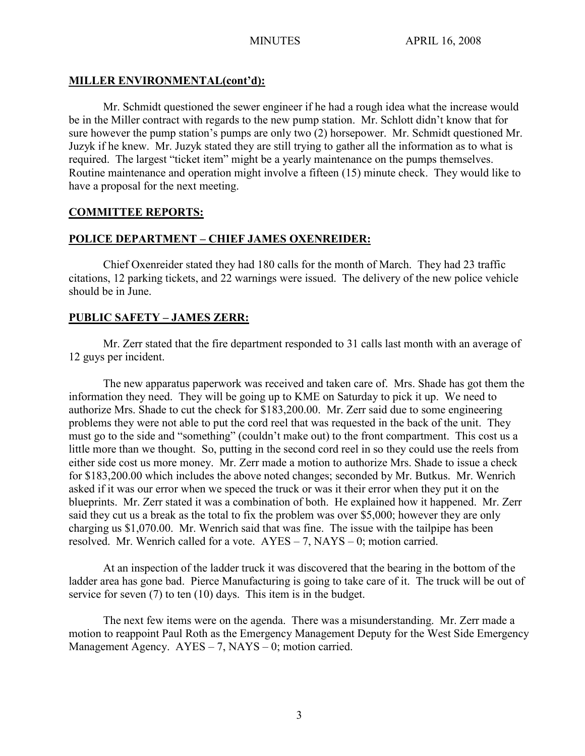## **MILLER ENVIRONMENTAL(cont'd):**

Mr. Schmidt questioned the sewer engineer if he had a rough idea what the increase would be in the Miller contract with regards to the new pump station. Mr. Schlott didn't know that for sure however the pump station's pumps are only two (2) horsepower. Mr. Schmidt questioned Mr. Juzyk if he knew. Mr. Juzyk stated they are still trying to gather all the information as to what is required. The largest "ticket item" might be a yearly maintenance on the pumps themselves. Routine maintenance and operation might involve a fifteen (15) minute check. They would like to have a proposal for the next meeting.

## **COMMITTEE REPORTS:**

## **POLICE DEPARTMENT – CHIEF JAMES OXENREIDER:**

Chief Oxenreider stated they had 180 calls for the month of March. They had 23 traffic citations, 12 parking tickets, and 22 warnings were issued. The delivery of the new police vehicle should be in June.

# **PUBLIC SAFETY – JAMES ZERR:**

Mr. Zerr stated that the fire department responded to 31 calls last month with an average of 12 guys per incident.

The new apparatus paperwork was received and taken care of. Mrs. Shade has got them the information they need. They will be going up to KME on Saturday to pick it up. We need to authorize Mrs. Shade to cut the check for \$183,200.00. Mr. Zerr said due to some engineering problems they were not able to put the cord reel that was requested in the back of the unit. They must go to the side and "something" (couldn't make out) to the front compartment. This cost us a little more than we thought. So, putting in the second cord reel in so they could use the reels from either side cost us more money. Mr. Zerr made a motion to authorize Mrs. Shade to issue a check for \$183,200.00 which includes the above noted changes; seconded by Mr. Butkus. Mr. Wenrich asked if it was our error when we speced the truck or was it their error when they put it on the blueprints. Mr. Zerr stated it was a combination of both. He explained how it happened. Mr. Zerr said they cut us a break as the total to fix the problem was over \$5,000; however they are only charging us \$1,070.00. Mr. Wenrich said that was fine. The issue with the tailpipe has been resolved. Mr. Wenrich called for a vote. AYES – 7, NAYS – 0; motion carried.

At an inspection of the ladder truck it was discovered that the bearing in the bottom of the ladder area has gone bad. Pierce Manufacturing is going to take care of it. The truck will be out of service for seven (7) to ten (10) days. This item is in the budget.

The next few items were on the agenda. There was a misunderstanding. Mr. Zerr made a motion to reappoint Paul Roth as the Emergency Management Deputy for the West Side Emergency Management Agency.  $AYES - 7$ ,  $NAYS - 0$ ; motion carried.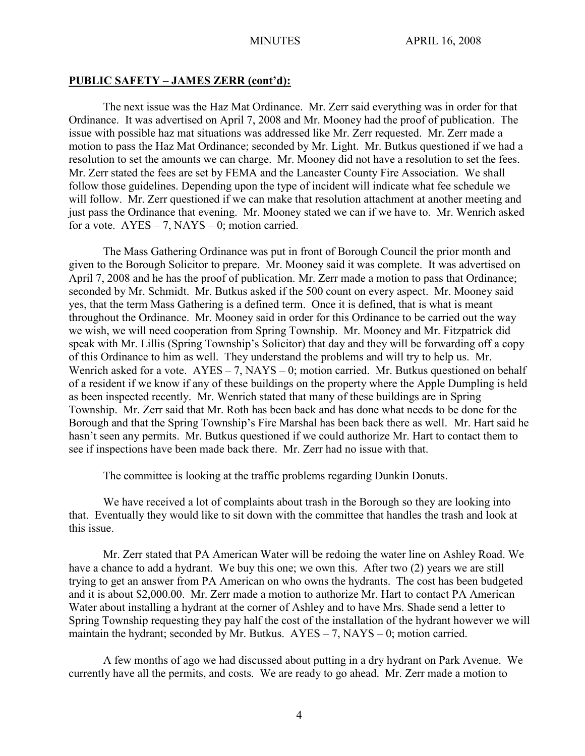#### **PUBLIC SAFETY – JAMES ZERR (cont'd):**

The next issue was the Haz Mat Ordinance. Mr. Zerr said everything was in order for that Ordinance. It was advertised on April 7, 2008 and Mr. Mooney had the proof of publication. The issue with possible haz mat situations was addressed like Mr. Zerr requested. Mr. Zerr made a motion to pass the Haz Mat Ordinance; seconded by Mr. Light. Mr. Butkus questioned if we had a resolution to set the amounts we can charge. Mr. Mooney did not have a resolution to set the fees. Mr. Zerr stated the fees are set by FEMA and the Lancaster County Fire Association. We shall follow those guidelines. Depending upon the type of incident will indicate what fee schedule we will follow. Mr. Zerr questioned if we can make that resolution attachment at another meeting and just pass the Ordinance that evening. Mr. Mooney stated we can if we have to. Mr. Wenrich asked for a vote.  $AYES - 7$ ,  $NAYS - 0$ ; motion carried.

The Mass Gathering Ordinance was put in front of Borough Council the prior month and given to the Borough Solicitor to prepare. Mr. Mooney said it was complete. It was advertised on April 7, 2008 and he has the proof of publication. Mr. Zerr made a motion to pass that Ordinance; seconded by Mr. Schmidt. Mr. Butkus asked if the 500 count on every aspect. Mr. Mooney said yes, that the term Mass Gathering is a defined term. Once it is defined, that is what is meant throughout the Ordinance. Mr. Mooney said in order for this Ordinance to be carried out the way we wish, we will need cooperation from Spring Township. Mr. Mooney and Mr. Fitzpatrick did speak with Mr. Lillis (Spring Township's Solicitor) that day and they will be forwarding off a copy of this Ordinance to him as well. They understand the problems and will try to help us. Mr. Wenrich asked for a vote.  $AYES - 7$ ,  $NAYS - 0$ ; motion carried. Mr. Butkus questioned on behalf of a resident if we know if any of these buildings on the property where the Apple Dumpling is held as been inspected recently. Mr. Wenrich stated that many of these buildings are in Spring Township. Mr. Zerr said that Mr. Roth has been back and has done what needs to be done for the Borough and that the Spring Township's Fire Marshal has been back there as well. Mr. Hart said he hasn't seen any permits. Mr. Butkus questioned if we could authorize Mr. Hart to contact them to see if inspections have been made back there. Mr. Zerr had no issue with that.

The committee is looking at the traffic problems regarding Dunkin Donuts.

We have received a lot of complaints about trash in the Borough so they are looking into that. Eventually they would like to sit down with the committee that handles the trash and look at this issue.

Mr. Zerr stated that PA American Water will be redoing the water line on Ashley Road. We have a chance to add a hydrant. We buy this one; we own this. After two (2) years we are still trying to get an answer from PA American on who owns the hydrants. The cost has been budgeted and it is about \$2,000.00. Mr. Zerr made a motion to authorize Mr. Hart to contact PA American Water about installing a hydrant at the corner of Ashley and to have Mrs. Shade send a letter to Spring Township requesting they pay half the cost of the installation of the hydrant however we will maintain the hydrant; seconded by Mr. Butkus. AYES – 7, NAYS – 0; motion carried.

A few months of ago we had discussed about putting in a dry hydrant on Park Avenue. We currently have all the permits, and costs. We are ready to go ahead. Mr. Zerr made a motion to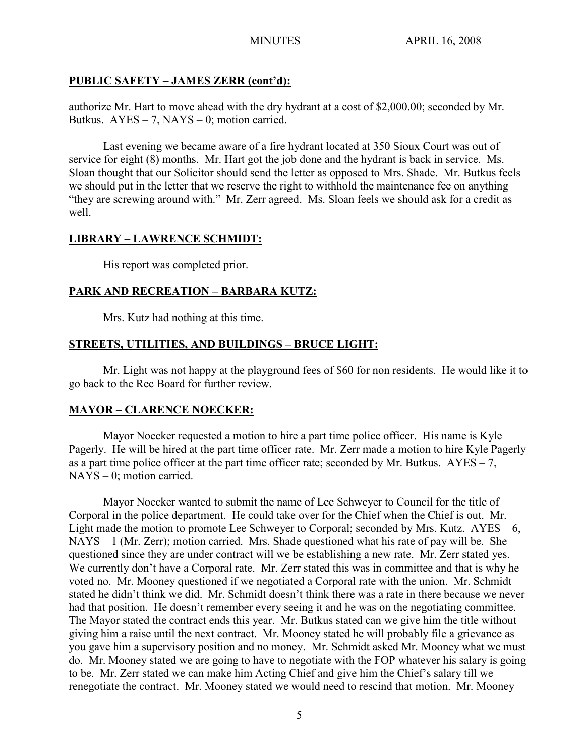# **PUBLIC SAFETY – JAMES ZERR (cont'd):**

authorize Mr. Hart to move ahead with the dry hydrant at a cost of \$2,000.00; seconded by Mr. Butkus.  $AYES - 7$ ,  $NAYS - 0$ ; motion carried.

Last evening we became aware of a fire hydrant located at 350 Sioux Court was out of service for eight (8) months. Mr. Hart got the job done and the hydrant is back in service. Ms. Sloan thought that our Solicitor should send the letter as opposed to Mrs. Shade. Mr. Butkus feels we should put in the letter that we reserve the right to withhold the maintenance fee on anything "they are screwing around with." Mr. Zerr agreed. Ms. Sloan feels we should ask for a credit as well.

# **LIBRARY – LAWRENCE SCHMIDT:**

His report was completed prior.

# **PARK AND RECREATION – BARBARA KUTZ:**

Mrs. Kutz had nothing at this time.

# **STREETS, UTILITIES, AND BUILDINGS – BRUCE LIGHT:**

Mr. Light was not happy at the playground fees of \$60 for non residents. He would like it to go back to the Rec Board for further review.

# **MAYOR – CLARENCE NOECKER:**

Mayor Noecker requested a motion to hire a part time police officer. His name is Kyle Pagerly. He will be hired at the part time officer rate. Mr. Zerr made a motion to hire Kyle Pagerly as a part time police officer at the part time officer rate; seconded by Mr. Butkus.  $AYES - 7$ , NAYS – 0; motion carried.

Mayor Noecker wanted to submit the name of Lee Schweyer to Council for the title of Corporal in the police department. He could take over for the Chief when the Chief is out. Mr. Light made the motion to promote Lee Schweyer to Corporal; seconded by Mrs. Kutz. AYES – 6, NAYS – 1 (Mr. Zerr); motion carried. Mrs. Shade questioned what his rate of pay will be. She questioned since they are under contract will we be establishing a new rate. Mr. Zerr stated yes. We currently don't have a Corporal rate. Mr. Zerr stated this was in committee and that is why he voted no. Mr. Mooney questioned if we negotiated a Corporal rate with the union. Mr. Schmidt stated he didn't think we did. Mr. Schmidt doesn't think there was a rate in there because we never had that position. He doesn't remember every seeing it and he was on the negotiating committee. The Mayor stated the contract ends this year. Mr. Butkus stated can we give him the title without giving him a raise until the next contract. Mr. Mooney stated he will probably file a grievance as you gave him a supervisory position and no money. Mr. Schmidt asked Mr. Mooney what we must do. Mr. Mooney stated we are going to have to negotiate with the FOP whatever his salary is going to be. Mr. Zerr stated we can make him Acting Chief and give him the Chief's salary till we renegotiate the contract. Mr. Mooney stated we would need to rescind that motion. Mr. Mooney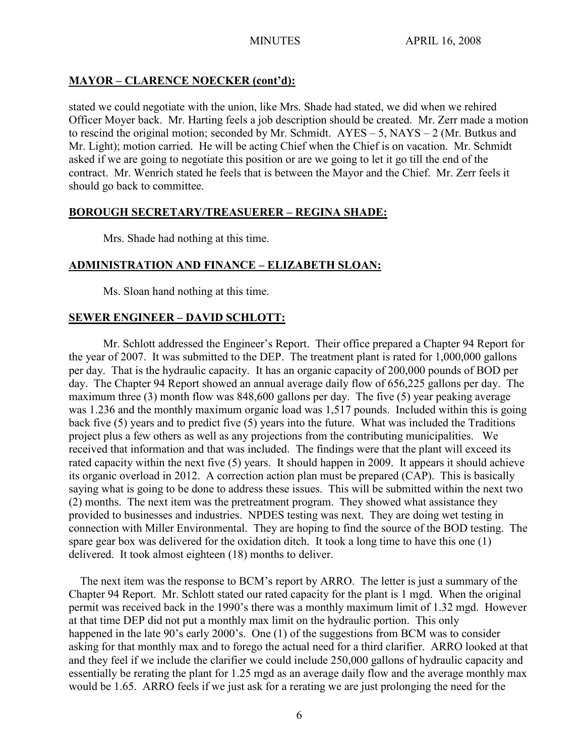# **MAYOR – CLARENCE NOECKER (cont'd):**

stated we could negotiate with the union, like Mrs. Shade had stated, we did when we rehired Officer Moyer back. Mr. Harting feels a job description should be created. Mr. Zerr made a motion to rescind the original motion; seconded by Mr. Schmidt. AYES – 5, NAYS – 2 (Mr. Butkus and Mr. Light); motion carried. He will be acting Chief when the Chief is on vacation. Mr. Schmidt asked if we are going to negotiate this position or are we going to let it go till the end of the contract. Mr. Wenrich stated he feels that is between the Mayor and the Chief. Mr. Zerr feels it should go back to committee.

# **BOROUGH SECRETARY/TREASUERER – REGINA SHADE:**

Mrs. Shade had nothing at this time.

## **ADMINISTRATION AND FINANCE – ELIZABETH SLOAN:**

Ms. Sloan hand nothing at this time.

# **SEWER ENGINEER – DAVID SCHLOTT:**

Mr. Schlott addressed the Engineer's Report. Their office prepared a Chapter 94 Report for the year of 2007. It was submitted to the DEP. The treatment plant is rated for 1,000,000 gallons per day. That is the hydraulic capacity. It has an organic capacity of 200,000 pounds of BOD per day. The Chapter 94 Report showed an annual average daily flow of 656,225 gallons per day. The maximum three (3) month flow was 848,600 gallons per day. The five (5) year peaking average was 1.236 and the monthly maximum organic load was 1,517 pounds. Included within this is going back five (5) years and to predict five (5) years into the future. What was included the Traditions project plus a few others as well as any projections from the contributing municipalities. We received that information and that was included. The findings were that the plant will exceed its rated capacity within the next five (5) years. It should happen in 2009. It appears it should achieve its organic overload in 2012. A correction action plan must be prepared (CAP). This is basically saying what is going to be done to address these issues. This will be submitted within the next two (2) months. The next item was the pretreatment program. They showed what assistance they provided to businesses and industries. NPDES testing was next. They are doing wet testing in connection with Miller Environmental. They are hoping to find the source of the BOD testing. The spare gear box was delivered for the oxidation ditch. It took a long time to have this one (1) delivered. It took almost eighteen (18) months to deliver.

 The next item was the response to BCM's report by ARRO. The letter is just a summary of the Chapter 94 Report. Mr. Schlott stated our rated capacity for the plant is 1 mgd. When the original permit was received back in the 1990's there was a monthly maximum limit of 1.32 mgd. However at that time DEP did not put a monthly max limit on the hydraulic portion. This only happened in the late 90's early 2000's. One (1) of the suggestions from BCM was to consider asking for that monthly max and to forego the actual need for a third clarifier. ARRO looked at that and they feel if we include the clarifier we could include 250,000 gallons of hydraulic capacity and essentially be rerating the plant for 1.25 mgd as an average daily flow and the average monthly max would be 1.65. ARRO feels if we just ask for a rerating we are just prolonging the need for the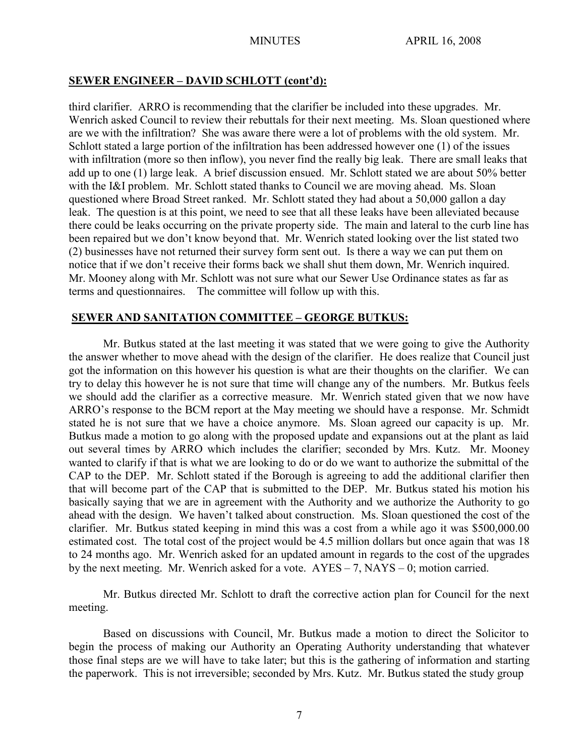## **SEWER ENGINEER – DAVID SCHLOTT (cont'd):**

third clarifier. ARRO is recommending that the clarifier be included into these upgrades. Mr. Wenrich asked Council to review their rebuttals for their next meeting. Ms. Sloan questioned where are we with the infiltration? She was aware there were a lot of problems with the old system. Mr. Schlott stated a large portion of the infiltration has been addressed however one (1) of the issues with infiltration (more so then inflow), you never find the really big leak. There are small leaks that add up to one (1) large leak. A brief discussion ensued. Mr. Schlott stated we are about 50% better with the I&I problem. Mr. Schlott stated thanks to Council we are moving ahead. Ms. Sloan questioned where Broad Street ranked. Mr. Schlott stated they had about a 50,000 gallon a day leak. The question is at this point, we need to see that all these leaks have been alleviated because there could be leaks occurring on the private property side. The main and lateral to the curb line has been repaired but we don't know beyond that. Mr. Wenrich stated looking over the list stated two (2) businesses have not returned their survey form sent out. Is there a way we can put them on notice that if we don't receive their forms back we shall shut them down, Mr. Wenrich inquired. Mr. Mooney along with Mr. Schlott was not sure what our Sewer Use Ordinance states as far as terms and questionnaires. The committee will follow up with this.

## **SEWER AND SANITATION COMMITTEE – GEORGE BUTKUS:**

Mr. Butkus stated at the last meeting it was stated that we were going to give the Authority the answer whether to move ahead with the design of the clarifier. He does realize that Council just got the information on this however his question is what are their thoughts on the clarifier. We can try to delay this however he is not sure that time will change any of the numbers. Mr. Butkus feels we should add the clarifier as a corrective measure. Mr. Wenrich stated given that we now have ARRO's response to the BCM report at the May meeting we should have a response. Mr. Schmidt stated he is not sure that we have a choice anymore. Ms. Sloan agreed our capacity is up. Mr. Butkus made a motion to go along with the proposed update and expansions out at the plant as laid out several times by ARRO which includes the clarifier; seconded by Mrs. Kutz. Mr. Mooney wanted to clarify if that is what we are looking to do or do we want to authorize the submittal of the CAP to the DEP. Mr. Schlott stated if the Borough is agreeing to add the additional clarifier then that will become part of the CAP that is submitted to the DEP. Mr. Butkus stated his motion his basically saying that we are in agreement with the Authority and we authorize the Authority to go ahead with the design. We haven't talked about construction. Ms. Sloan questioned the cost of the clarifier. Mr. Butkus stated keeping in mind this was a cost from a while ago it was \$500,000.00 estimated cost. The total cost of the project would be 4.5 million dollars but once again that was 18 to 24 months ago. Mr. Wenrich asked for an updated amount in regards to the cost of the upgrades by the next meeting. Mr. Wenrich asked for a vote. AYES – 7, NAYS – 0; motion carried.

Mr. Butkus directed Mr. Schlott to draft the corrective action plan for Council for the next meeting.

Based on discussions with Council, Mr. Butkus made a motion to direct the Solicitor to begin the process of making our Authority an Operating Authority understanding that whatever those final steps are we will have to take later; but this is the gathering of information and starting the paperwork. This is not irreversible; seconded by Mrs. Kutz. Mr. Butkus stated the study group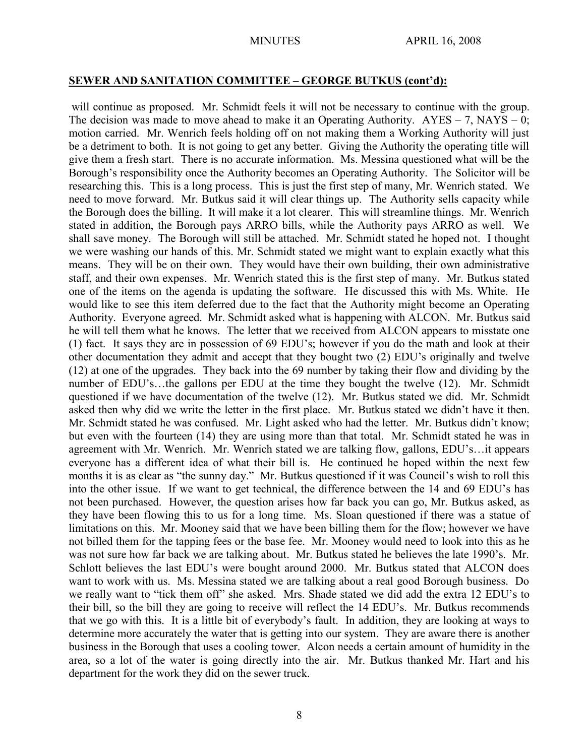#### **SEWER AND SANITATION COMMITTEE – GEORGE BUTKUS (cont'd):**

will continue as proposed. Mr. Schmidt feels it will not be necessary to continue with the group. The decision was made to move ahead to make it an Operating Authority.  $AYES - 7$ ,  $NAYS - 0$ ; motion carried. Mr. Wenrich feels holding off on not making them a Working Authority will just be a detriment to both. It is not going to get any better. Giving the Authority the operating title will give them a fresh start. There is no accurate information. Ms. Messina questioned what will be the Borough's responsibility once the Authority becomes an Operating Authority. The Solicitor will be researching this. This is a long process. This is just the first step of many, Mr. Wenrich stated. We need to move forward. Mr. Butkus said it will clear things up. The Authority sells capacity while the Borough does the billing. It will make it a lot clearer. This will streamline things. Mr. Wenrich stated in addition, the Borough pays ARRO bills, while the Authority pays ARRO as well. We shall save money. The Borough will still be attached. Mr. Schmidt stated he hoped not. I thought we were washing our hands of this. Mr. Schmidt stated we might want to explain exactly what this means. They will be on their own. They would have their own building, their own administrative staff, and their own expenses. Mr. Wenrich stated this is the first step of many. Mr. Butkus stated one of the items on the agenda is updating the software. He discussed this with Ms. White. He would like to see this item deferred due to the fact that the Authority might become an Operating Authority. Everyone agreed. Mr. Schmidt asked what is happening with ALCON. Mr. Butkus said he will tell them what he knows. The letter that we received from ALCON appears to misstate one (1) fact. It says they are in possession of 69 EDU's; however if you do the math and look at their other documentation they admit and accept that they bought two (2) EDU's originally and twelve (12) at one of the upgrades. They back into the 69 number by taking their flow and dividing by the number of EDU's...the gallons per EDU at the time they bought the twelve (12). Mr. Schmidt questioned if we have documentation of the twelve (12). Mr. Butkus stated we did. Mr. Schmidt asked then why did we write the letter in the first place. Mr. Butkus stated we didn't have it then. Mr. Schmidt stated he was confused. Mr. Light asked who had the letter. Mr. Butkus didn't know; but even with the fourteen (14) they are using more than that total. Mr. Schmidt stated he was in agreement with Mr. Wenrich. Mr. Wenrich stated we are talking flow, gallons, EDU's…it appears everyone has a different idea of what their bill is. He continued he hoped within the next few months it is as clear as "the sunny day." Mr. Butkus questioned if it was Council's wish to roll this into the other issue. If we want to get technical, the difference between the 14 and 69 EDU's has not been purchased. However, the question arises how far back you can go, Mr. Butkus asked, as they have been flowing this to us for a long time. Ms. Sloan questioned if there was a statue of limitations on this. Mr. Mooney said that we have been billing them for the flow; however we have not billed them for the tapping fees or the base fee. Mr. Mooney would need to look into this as he was not sure how far back we are talking about. Mr. Butkus stated he believes the late 1990's. Mr. Schlott believes the last EDU's were bought around 2000. Mr. Butkus stated that ALCON does want to work with us. Ms. Messina stated we are talking about a real good Borough business. Do we really want to "tick them off" she asked. Mrs. Shade stated we did add the extra 12 EDU's to their bill, so the bill they are going to receive will reflect the 14 EDU's. Mr. Butkus recommends that we go with this. It is a little bit of everybody's fault. In addition, they are looking at ways to determine more accurately the water that is getting into our system. They are aware there is another business in the Borough that uses a cooling tower. Alcon needs a certain amount of humidity in the area, so a lot of the water is going directly into the air. Mr. Butkus thanked Mr. Hart and his department for the work they did on the sewer truck.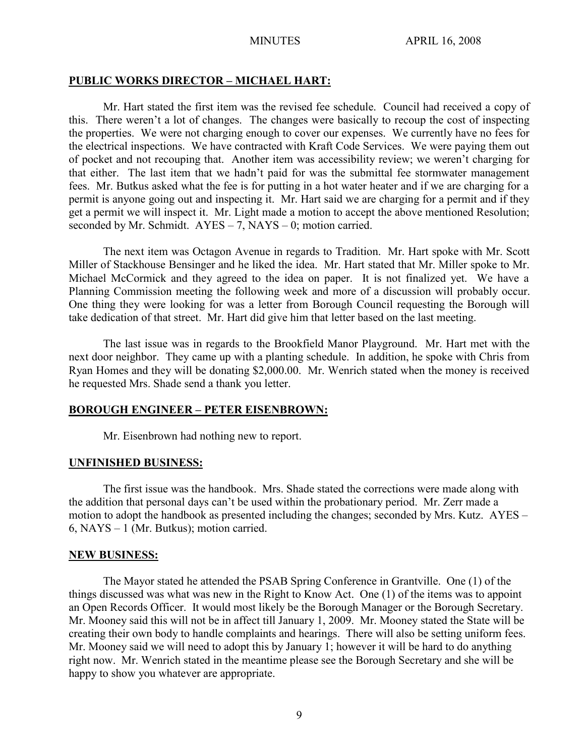#### **PUBLIC WORKS DIRECTOR – MICHAEL HART:**

Mr. Hart stated the first item was the revised fee schedule. Council had received a copy of this. There weren't a lot of changes. The changes were basically to recoup the cost of inspecting the properties. We were not charging enough to cover our expenses. We currently have no fees for the electrical inspections. We have contracted with Kraft Code Services. We were paying them out of pocket and not recouping that. Another item was accessibility review; we weren't charging for that either. The last item that we hadn't paid for was the submittal fee stormwater management fees. Mr. Butkus asked what the fee is for putting in a hot water heater and if we are charging for a permit is anyone going out and inspecting it. Mr. Hart said we are charging for a permit and if they get a permit we will inspect it. Mr. Light made a motion to accept the above mentioned Resolution; seconded by Mr. Schmidt.  $AYES - 7$ ,  $NAYS - 0$ ; motion carried.

The next item was Octagon Avenue in regards to Tradition. Mr. Hart spoke with Mr. Scott Miller of Stackhouse Bensinger and he liked the idea. Mr. Hart stated that Mr. Miller spoke to Mr. Michael McCormick and they agreed to the idea on paper. It is not finalized yet. We have a Planning Commission meeting the following week and more of a discussion will probably occur. One thing they were looking for was a letter from Borough Council requesting the Borough will take dedication of that street. Mr. Hart did give him that letter based on the last meeting.

The last issue was in regards to the Brookfield Manor Playground. Mr. Hart met with the next door neighbor. They came up with a planting schedule. In addition, he spoke with Chris from Ryan Homes and they will be donating \$2,000.00. Mr. Wenrich stated when the money is received he requested Mrs. Shade send a thank you letter.

#### **BOROUGH ENGINEER – PETER EISENBROWN:**

Mr. Eisenbrown had nothing new to report.

#### **UNFINISHED BUSINESS:**

The first issue was the handbook. Mrs. Shade stated the corrections were made along with the addition that personal days can't be used within the probationary period. Mr. Zerr made a motion to adopt the handbook as presented including the changes; seconded by Mrs. Kutz. AYES – 6, NAYS – 1 (Mr. Butkus); motion carried.

#### **NEW BUSINESS:**

The Mayor stated he attended the PSAB Spring Conference in Grantville. One (1) of the things discussed was what was new in the Right to Know Act. One (1) of the items was to appoint an Open Records Officer. It would most likely be the Borough Manager or the Borough Secretary. Mr. Mooney said this will not be in affect till January 1, 2009. Mr. Mooney stated the State will be creating their own body to handle complaints and hearings. There will also be setting uniform fees. Mr. Mooney said we will need to adopt this by January 1; however it will be hard to do anything right now. Mr. Wenrich stated in the meantime please see the Borough Secretary and she will be happy to show you whatever are appropriate.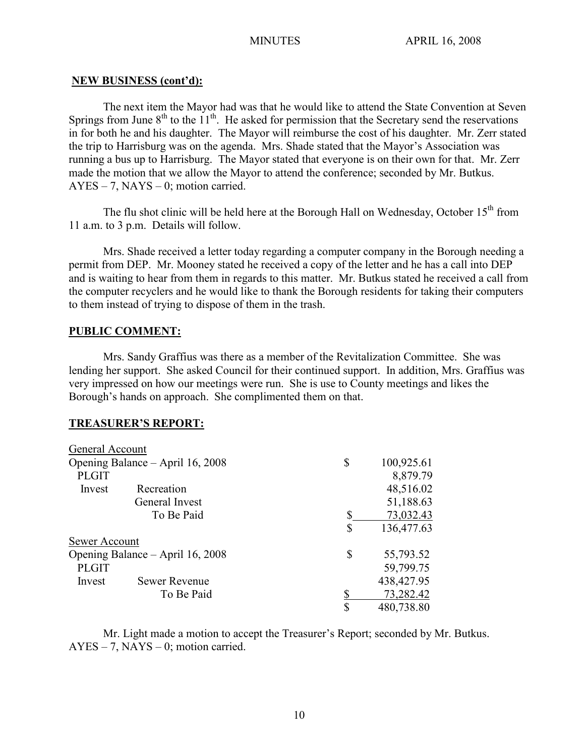#### **NEW BUSINESS (cont'd):**

The next item the Mayor had was that he would like to attend the State Convention at Seven Springs from June  $8<sup>th</sup>$  to the  $11<sup>th</sup>$ . He asked for permission that the Secretary send the reservations in for both he and his daughter. The Mayor will reimburse the cost of his daughter. Mr. Zerr stated the trip to Harrisburg was on the agenda. Mrs. Shade stated that the Mayor's Association was running a bus up to Harrisburg. The Mayor stated that everyone is on their own for that. Mr. Zerr made the motion that we allow the Mayor to attend the conference; seconded by Mr. Butkus.  $AYES - 7$ ,  $NAYS - 0$ ; motion carried.

The flu shot clinic will be held here at the Borough Hall on Wednesday, October  $15<sup>th</sup>$  from 11 a.m. to 3 p.m. Details will follow.

Mrs. Shade received a letter today regarding a computer company in the Borough needing a permit from DEP. Mr. Mooney stated he received a copy of the letter and he has a call into DEP and is waiting to hear from them in regards to this matter. Mr. Butkus stated he received a call from the computer recyclers and he would like to thank the Borough residents for taking their computers to them instead of trying to dispose of them in the trash.

### **PUBLIC COMMENT:**

Mrs. Sandy Graffius was there as a member of the Revitalization Committee. She was lending her support. She asked Council for their continued support. In addition, Mrs. Graffius was very impressed on how our meetings were run. She is use to County meetings and likes the Borough's hands on approach. She complimented them on that.

### **TREASURER'S REPORT:**

| General Account                  |                      |    |              |
|----------------------------------|----------------------|----|--------------|
| Opening Balance – April 16, 2008 |                      | S  | 100,925.61   |
| <b>PLGIT</b>                     |                      |    | 8,879.79     |
| Invest                           | Recreation           |    | 48,516.02    |
|                                  | General Invest       |    | 51,188.63    |
|                                  | To Be Paid           | \$ | 73,032.43    |
|                                  |                      | \$ | 136,477.63   |
| Sewer Account                    |                      |    |              |
| Opening Balance – April 16, 2008 |                      | \$ | 55,793.52    |
| <b>PLGIT</b>                     |                      |    | 59,799.75    |
| Invest                           | <b>Sewer Revenue</b> |    | 438, 427. 95 |
|                                  | To Be Paid           |    | 73,282.42    |
|                                  |                      | \$ | 480,738.80   |

Mr. Light made a motion to accept the Treasurer's Report; seconded by Mr. Butkus.  $AYES - 7$ ,  $NAYS - 0$ ; motion carried.